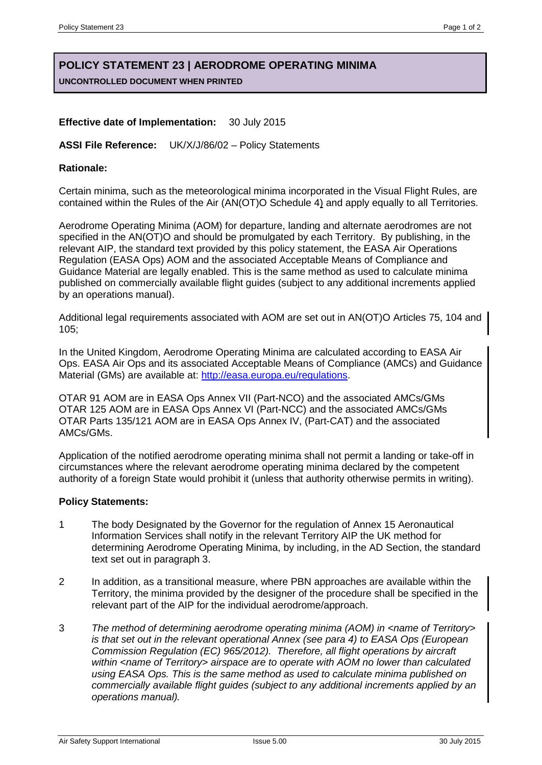# **POLICY STATEMENT 23 | AERODROME OPERATING MINIMA UNCONTROLLED DOCUMENT WHEN PRINTED**

# **Effective date of Implementation:** 30 July 2015

### **ASSI File Reference:** UK/X/J/86/02 – Policy Statements

# **Rationale:**

Certain minima, such as the meteorological minima incorporated in the Visual Flight Rules, are contained within the Rules of the Air (AN(OT)O Schedule 4) and apply equally to all Territories.

Aerodrome Operating Minima (AOM) for departure, landing and alternate aerodromes are not specified in the AN(OT)O and should be promulgated by each Territory. By publishing, in the relevant AIP, the standard text provided by this policy statement, the EASA Air Operations Regulation (EASA Ops) AOM and the associated Acceptable Means of Compliance and Guidance Material are legally enabled. This is the same method as used to calculate minima published on commercially available flight guides (subject to any additional increments applied by an operations manual).

Additional legal requirements associated with AOM are set out in AN(OT)O Articles 75, 104 and 105;

In the United Kingdom, Aerodrome Operating Minima are calculated according to EASA Air Ops. EASA Air Ops and its associated Acceptable Means of Compliance (AMCs) and Guidance Material (GMs) are available at: [http://easa.europa.eu/regulations.](http://easa.europa.eu/regulations)

OTAR 91 AOM are in EASA Ops Annex VII (Part-NCO) and the associated AMCs/GMs OTAR 125 AOM are in EASA Ops Annex VI (Part-NCC) and the associated AMCs/GMs OTAR Parts 135/121 AOM are in EASA Ops Annex IV, (Part-CAT) and the associated AMCs/GMs.

Application of the notified aerodrome operating minima shall not permit a landing or take-off in circumstances where the relevant aerodrome operating minima declared by the competent authority of a foreign State would prohibit it (unless that authority otherwise permits in writing).

# **Policy Statements:**

- 1 The body Designated by the Governor for the regulation of Annex 15 Aeronautical Information Services shall notify in the relevant Territory AIP the UK method for determining Aerodrome Operating Minima, by including, in the AD Section, the standard text set out in paragraph 3.
- 2 In addition, as a transitional measure, where PBN approaches are available within the Territory, the minima provided by the designer of the procedure shall be specified in the relevant part of the AIP for the individual aerodrome/approach.
- 3 *The method of determining aerodrome operating minima (AOM) in <name of Territory> is that set out in the relevant operational Annex (see para 4) to EASA Ops (European Commission Regulation (EC) 965/2012). Therefore, all flight operations by aircraft within <name of Territory> airspace are to operate with AOM no lower than calculated using EASA Ops. This is the same method as used to calculate minima published on commercially available flight guides (subject to any additional increments applied by an operations manual).*